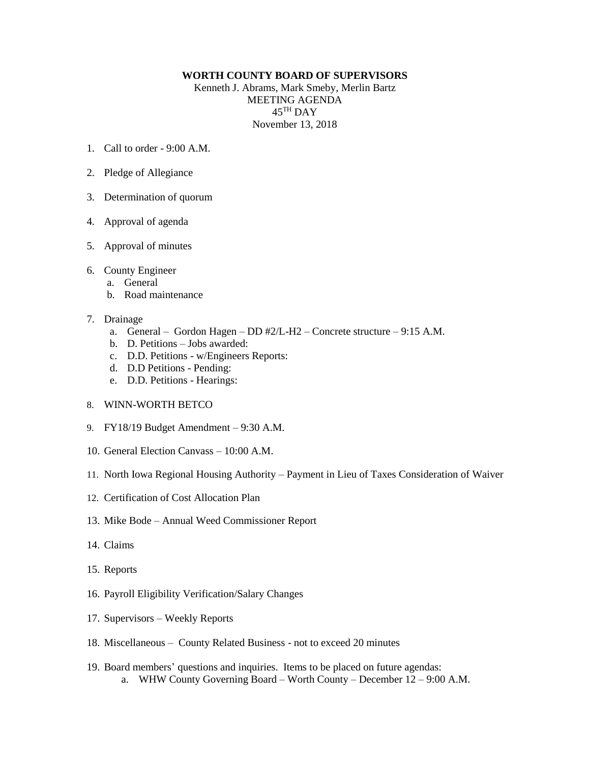## **WORTH COUNTY BOARD OF SUPERVISORS**

Kenneth J. Abrams, Mark Smeby, Merlin Bartz MEETING AGENDA  $45^{\mathrm{TH}}$  DAY November 13, 2018

- 1. Call to order  $9.00 \text{ A M}$
- 2. Pledge of Allegiance
- 3. Determination of quorum
- 4. Approval of agenda
- 5. Approval of minutes
- 6. County Engineer
	- a. General
	- b. Road maintenance
- 7. Drainage
	- a. General Gordon Hagen DD #2/L-H2 Concrete structure 9:15 A.M.
	- b. D. Petitions Jobs awarded:
	- c. D.D. Petitions w/Engineers Reports:
	- d. D.D Petitions Pending:
	- e. D.D. Petitions Hearings:
- 8. WINN-WORTH BETCO
- 9. FY18/19 Budget Amendment 9:30 A.M.
- 10. General Election Canvass 10:00 A.M.
- 11. North Iowa Regional Housing Authority Payment in Lieu of Taxes Consideration of Waiver
- 12. Certification of Cost Allocation Plan
- 13. Mike Bode Annual Weed Commissioner Report
- 14. Claims
- 15. Reports
- 16. Payroll Eligibility Verification/Salary Changes
- 17. Supervisors Weekly Reports
- 18. Miscellaneous County Related Business not to exceed 20 minutes
- 19. Board members' questions and inquiries. Items to be placed on future agendas: a. WHW County Governing Board – Worth County – December 12 – 9:00 A.M.